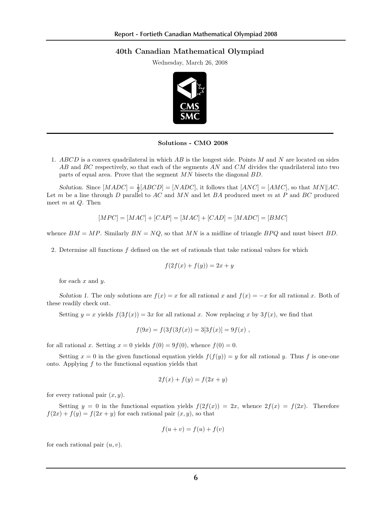## 40th Canadian Mathematical Olympiad

Wednesday, March 26, 2008



 $301010118 - CNIO$   $2008$ Solutions - CMO 2008

1. ABCD is a convex quadrilateral in which  $AB$  is the longest side. Points M and N are located on sides parts of equal area. Prove that the segment  $MN$  bisects the diagonal  $BD$ . AB and BC respectively, so that each of the segments AN and CM divides the quadrilateral into two

Solution. Since  $[MADC] = \frac{1}{2}[ABCD] = [NADC]$ , it follows that  $[ANC] = [AMC]$ , so that  $MN||AC$ . meet m at  $Q$ . Then Let m be a line through D parallel to  $AC$  and  $MN$  and let BA produced meet m at P and BC produced

$$
[MPC] = [MAC] + [CAP] = [MAC] + [CAD] = [MADC] = [BMC]
$$

 $Q$ , so that  $MN$ t  $MN$  is a midl  $a$  midline whence  $BM = MP$ . Similarly  $BN = NQ$ , so that  $MN$  is a midline of triangle  $BPQ$  and must bisect  $BD$ .

2. Determine all functions  $f$  defined on the set of rationals that take rational values for which

$$
f(2f(x) + f(y)) = 2x + y
$$

for each  $x$  and  $y$ .

 $\sim$  A self-avoiding rook walk on a chessboard (a rectangular grid of unit squares) is a path traced by  $\sim$ Solution 1. The only solutions are  $f(x) = x$  for all rational x and  $f(x) = -x$  for all rational x. Both of reachly check out. these readily check out.

Setting  $y = x$  yields  $f(3f(x)) = 3x$  for all rational x. Now replacing x by  $3f(x)$ , we find that

$$
f(9x) = f(3f(3f(x)) = 3[3f(x)] = 9f(x) ,
$$

 $\lbrack \text{ rational } x \rbrack$  Sotting  $x = 0$  violds  $f(0) = 0 f(0)$  whence  $f(0) = 0$ . for all rational x. Setting  $x = 0$  yields  $f(0) = 9f(0)$ , whence  $f(0) = 0$ .

Setting  $x = 0$  in the given functional equation yields  $f(f(y)) = y$  for all rational y. Thus f is one-one onto. Applying  $f$  to the functional equation yields that

$$
2f(x) + f(y) = f(2x + y)
$$

for every rational pair  $(x, y)$ .

Setting  $y = 0$  in the functional equation yields  $f(2f(x)) = 2x$ , whence  $2f(x) = f(2x)$ . Therefore  $f(2x) + f(y) = f(2x + y)$  for each rational pair  $(x, y)$ , so that

$$
f(u + v) = f(u) + f(v)
$$

for each rational pair  $(u, v)$ .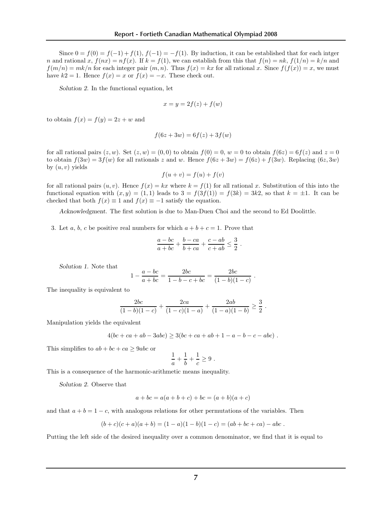Since  $0 = f(0) = f(-1) + f(1)$ ,  $f(-1) = -f(1)$ . By induction, it can be established that for each intger n and rational x,  $f(nx) = nf(x)$ . If  $k = f(1)$ , we can establish from this that  $f(n) = nk$ ,  $f(1/n) = k/n$  and  $f(m/n) = mk/n$  for each integer pair  $(m, n)$ . Thus  $f(x) = kx$  for all rational x. Since  $f(f(x)) = x$ , we must have  $k2 = 1$ . Hence  $f(x) = x$  or  $f(x) = -x$ . These check out.

Solution 2. In the functional equation, let

$$
x = y = 2f(z) + f(w)
$$

to obtain  $f(x) = f(y) = 2z + w$  and

for each rational pair (u, v).

$$
f(6z + 3w) = 6f(z) + 3f(w)
$$

for all rational pairs  $(z, w)$ . Set  $(z, w) = (0, 0)$  to obtain  $f(0) = 0$ ,  $w = 0$  to obtain  $f(6z) = 6f(z)$  and  $z = 0$ to obtain  $f(3w) = 3f(w)$  for all rationals z and w. Hence  $f(6z + 3w) = f(6z) + f(3w)$ . Replacing  $(6z, 3w)$ by  $(u, v)$  yields

$$
f(u + v) = f(u) + f(v)
$$

for all rational pairs  $(u, v)$ . Hence  $f(x) = kx$  where  $k = f(1)$  for all rational x. Substitution of this into the functional equation with  $(x, y) = (1, 1)$  leads to  $3 = f(3f(1)) = f(3k) = 3k2$ , so that  $k = \pm 1$ . It can be checked that both  $f(x) \equiv 1$  and  $f(x) \equiv -1$  satisfy the equation.

Acknowledgment. The first solution is due to Man-Duen Choi and the second to Ed Doolittle.

3. Let a, b, c be positive real numbers for which  $a + b + c = 1$ . Prove that

$$
\frac{a - bc}{a + bc} + \frac{b - ca}{b + ca} + \frac{c - ab}{c + ab} \leq \frac{3}{2}.
$$

Solution 1. Note that

$$
1 - \frac{a - bc}{a + bc} = \frac{2bc}{1 - b - c + bc} = \frac{2bc}{(1 - b)(1 - c)}.
$$

The inequality is equivalent to

$$
\frac{2bc}{(1-b)(1-c)} + \frac{2ca}{(1-c)(1-a)} + \frac{2ab}{(1-a)(1-b)} \ge \frac{3}{2}.
$$

Manipulation yields the equivalent

$$
4(bc+ca+ab-3abc) \ge 3(bc+ca+ab+1-a-b-c-abc) .
$$

This simplifies to  $ab + bc + ca \geq 9abc$  or

$$
\frac{1}{a} + \frac{1}{b} + \frac{1}{c} \ge 9.
$$

This is a consequence of the harmonic-arithmetic means inequality.

Solution 2. Observe that

$$
a + bc = a(a + b + c) + bc = (a + b)(a + c)
$$

and that  $a + b = 1 - c$ , with analogous relations for other permutations of the variables. Then

$$
(b + c)(c + a)(a + b) = (1 - a)(1 - b)(1 - c) = (ab + bc + ca) - abc.
$$

Putting the left side of the desired inequality over a common denominator, we find that it is equal to

= <del>1 + (a + ab) + (a + ab) + 3abc + 3abc + ab) + 3abc + 3abc + 3abc + 3abc + 3abc + 3abc + 3abc + 3abc + 3abc +</del>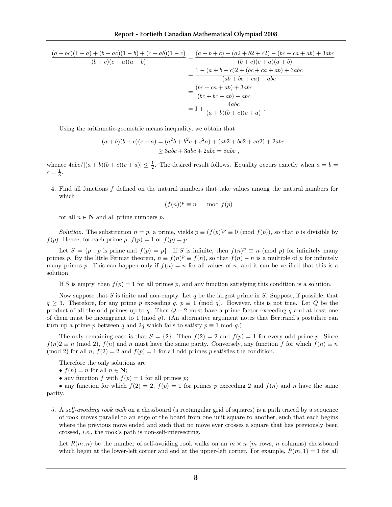Putting the left side of the desired inequality over a common denominator, we find that it is equal to

$$
\frac{(a-bc)(1-a)+(b-ac)(1-b)+(c-ab)(1-c)}{(b+c)(c+a)(a+b)} = \frac{(a+b+c)-(a2+b2+c2)-(bc+ca+ab)+3abc}{(b+c)(c+a)(a+b)}
$$

$$
= \frac{1-(a+b+c)2+(bc+ca+ab)+3abc}{(ab+bc+ca)-abc}
$$

$$
= \frac{(bc+ca+ab)+3abc}{(bc+bc+ab)-abc}
$$

$$
= 1 + \frac{4abc}{(a+b)(b+c)(c+a)}.
$$

Using the arithmetic-geometric means inequality, we obtain that

$$
(a+b)(b+c)(c+a) = (a2b+b2c+c2a)+(ab2+bc2+ca2)+2abc
$$
  
\n
$$
\geq 3abc+3abc+2abc = 8abc,
$$

whence  $4abc/[(a+b)(b+c)(c+a)] \leq \frac{1}{2}$ . The desired result follows. Equality occurs exactly when  $a = b =$  $c = \frac{1}{3}.$ 

4. Find all functions f defined on the natural numbers that take values among the natural numbers for which

$$
(f(n))^p\equiv n\ \mod f(p)
$$

for all  $n \in \mathbb{N}$  and all prime numbers p.

Solution. The substitution  $n = p$ , a prime, yields  $p \equiv (f(p))^p \equiv 0 \pmod{f(p)}$ , so that p is divisible by  $f(p)$ . Hence, for each prime p,  $f(p) = 1$  or  $f(p) = p$ .

Let  $S = \{p : p \text{ is prime and } f(p) = p\}$ . If S is infinite, then  $f(n)^p \equiv n \pmod{p}$  for infinitely many primes p. By the little Fermat theorem,  $n \equiv f(n)^p \equiv f(n)$ , so that  $f(n) - n$  is a multiple of p for infinitely many primes p. This can happen only if  $f(n) = n$  for all values of n, and it can be verified that this is a solution.

If S is empty, then  $f(p) = 1$  for all primes p, and any function satisfying this condition is a solution.

Now suppose that S is finite and non-empty. Let q be the largest prime in S. Suppose, if possible, that  $q \geq 3$ . Therefore, for any prime p exceeding q,  $p \equiv 1 \pmod{q}$ . However, this is not true. Let Q be the product of all the odd primes up to q. Then  $Q + 2$  must have a prime factor exceeding q and at least one of them must be incongruent to 1 (mod  $q$ ). (An alternative argument notes that Bertrand's postulate can turn up a prime p between q and 2q which fails to satisfy  $p \equiv 1 \mod q$ .

The only remaining case is that  $S = \{2\}$ . Then  $f(2) = 2$  and  $f(p) = 1$  for every odd prime p. Since  $f(n)2 \equiv n \pmod{2}$ ,  $f(n)$  and n must have the same parity. Conversely, any function f for which  $f(n) \equiv n$ (mod 2) for all n,  $f(2) = 2$  and  $f(p) = 1$  for all odd primes p satisfies the condition.

Therefore the only solutions are

•  $f(n) = n$  for all  $n \in \mathbb{N}$ ;

number n.

• any function f with  $f(p) = 1$  for all primes p;

• any function for which  $f(2) = 2$ ,  $f(p) = 1$  for primes p exceeding 2 and  $f(n)$  and n have the same parity.

5. A self-avoiding rook walk on a chessboard (a rectangular grid of squares) is a path traced by a sequence of rook moves parallel to an edge of the board from one unit square to another, such that each begins where the previous move ended and such that no move ever crosses a square that has previously been crossed, i.e., the rook's path is non-self-intersecting.

Let  $R(m, n)$  be the number of self-avoiding rook walks on an  $m \times n$  (m rows, n columns) chessboard which begin at the lower-left corner and end at the upper-left corner. For example,  $R(m, 1) = 1$  for all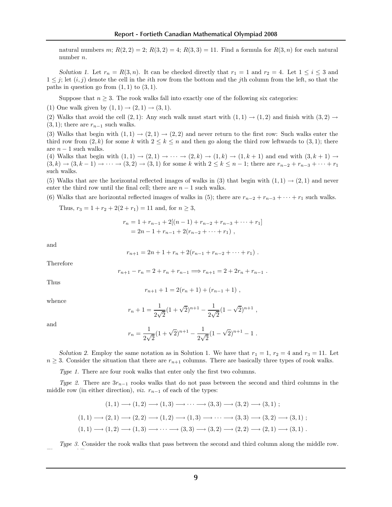natural numbers m;  $R(2, 2) = 2$ ;  $R(3, 2) = 4$ ;  $R(3, 3) = 11$ . Find a formula for  $R(3, n)$  for each natural number n.

Solution 1. Let  $r_n = R(3, n)$ . It can be checked directly that  $r_1 = 1$  and  $r_2 = 4$ . Let  $1 \le i \le 3$  and  $1 \leq j$ ; let  $(i, j)$  denote the cell in the *i*th row from the bottom and the *j*th column from the left, so that the paths in question go from  $(1, 1)$  to  $(3, 1)$ .

Suppose that  $n \geq 3$ . The rook walks fall into exactly one of the following six categories:

(1) One walk given by  $(1, 1) \rightarrow (2, 1) \rightarrow (3, 1)$ .

(2) Walks that avoid the cell (2, 1): Any such walk must start with  $(1, 1) \rightarrow (1, 2)$  and finish with  $(3, 2) \rightarrow$  $(3, 1)$ ; there are  $r_{n-1}$  such walks.

(3) Walks that begin with  $(1, 1) \rightarrow (2, 1) \rightarrow (2, 2)$  and never return to the first row: Such walks enter the third row from  $(2, k)$  for some k with  $2 \leq k \leq n$  and then go along the third row leftwards to  $(3, 1)$ ; there are  $n-1$  such walks.

 $(3, k) \to (3, k - 1) \to \cdots \to (3, 2) \to (3, 1)$  for some k with  $2 \le k \le n - 1$ ; there are  $r_{n-2} + r_{n-3} + \cdots + r_1$ (4) Walks that begin with  $(1, 1) \rightarrow (2, 1) \rightarrow \cdots \rightarrow (2, k) \rightarrow (1, k) \rightarrow (1, k+1)$  and end with  $(3, k+1) \rightarrow$ such walks.

(5) Walks that are the horizontal reflected images of walks in (3) that begin with  $(1, 1) \rightarrow (2, 1)$  and never enter the third row until the final cell; there are  $n - 1$  such walks.

(6) Walks that are horizontal reflected images of walks in (5); there are  $r_{n-2} + r_{n-3} + \cdots + r_1$  such walks.

Thus,  $r_3 = 1 + r_2 + 2(2 + r_1) = 11$  and, for  $n \ge 3$ ,

$$
r_n = 1 + r_{n-1} + 2[(n - 1) + r_{n-2} + r_{n-3} + \dots + r_1]
$$
  
= 2n - 1 + r\_{n-1} + 2(r\_{n-2} + \dots + r\_1),

and

$$
r_{n+1} = 2n + 1 + r_n + 2(r_{n-1} + r_{n-2} + \cdots + r_1).
$$

Therefore

$$
r_{n+1} - r_n = 2 + r_n + r_{n-1} \Longrightarrow r_{n+1} = 2 + 2r_n + r_{n-1} .
$$

Thus

$$
r_{n+1} + 1 = 2(r_n + 1) + (r_{n-1} + 1) ,
$$

whence

$$
r_n + 1 = \frac{1}{2\sqrt{2}}(1 + \sqrt{2})^{n+1} - \frac{1}{2\sqrt{2}}(1 - \sqrt{2})^{n+1},
$$

and

$$
r_n = \frac{1}{2\sqrt{2}}(1+\sqrt{2})^{n+1} - \frac{1}{2\sqrt{2}}(1-\sqrt{2})^{n+1} - 1.
$$

Solution 2. Employ the same notation as in Solution 1. We have that  $r_1 = 1$ ,  $r_2 = 4$  and  $r_3 = 11$ . Let  $n \geq 3$ . Consider the situation that there are  $r_{n+1}$  columns. There are basically three types of rook walks.

Type 1. There are four rook walks that enter only the first two columns.

Type 2. There are  $3r_{n-1}$  rooks walks that do not pass between the second and third columns in the middle row (in either direction), *viz.*  $r_{n-1}$  of each of the types:

$$
(1,1) \rightarrow (1,2) \rightarrow (1,3) \rightarrow \cdots \rightarrow (3,3) \rightarrow (3,2) \rightarrow (3,1);
$$
  

$$
(1,1) \rightarrow (2,1) \rightarrow (2,2) \rightarrow (1,2) \rightarrow (1,3) \rightarrow \cdots \rightarrow (3,3) \rightarrow (3,2) \rightarrow (3,1);
$$
  

$$
(1,1) \rightarrow (1,2) \rightarrow (1,3) \rightarrow \cdots \rightarrow (3,3) \rightarrow (3,2) \rightarrow (2,2) \rightarrow (2,1) \rightarrow (3,1).
$$

Type 3. Consider the rook walks that pass between the second and third column along the middle row. They are of Type 3a:

(1, 1) −→ «1, 2) −→ (2, 3) −→ (3, 3) −→ (3, 3) −→ (3, 3) −→ (3, 3) −→ (3, 3) −→ (3, 3) −→ (3, 2) −→ (3, 1) +→ (3, 1)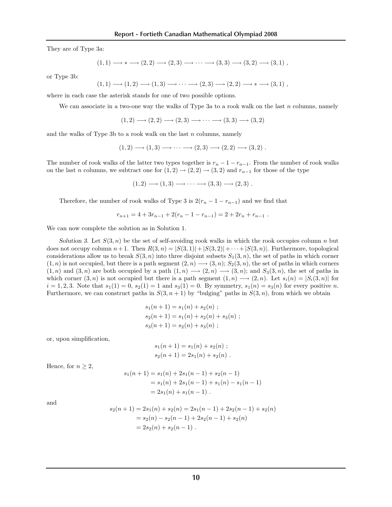They are of Type 3a:

$$
(1,1) \longrightarrow * \longrightarrow (2,2) \longrightarrow (2,3) \longrightarrow \cdots \longrightarrow (3,3) \longrightarrow (3,2) \longrightarrow (3,1) ,
$$

or Type 3b:

$$
(1,1) \longrightarrow (1,2) \longrightarrow (1,3) \longrightarrow \cdots \longrightarrow (2,3) \longrightarrow (2,2) \longrightarrow * \longrightarrow (3,1) ,
$$

where in each case the asterisk stands for one of two possible options.

We can associate in a two-one way the walks of Type 3a to a rook walk on the last  $n$  columns, namely

 $(1, 2) \longrightarrow (2, 2) \longrightarrow (2, 3) \longrightarrow \cdots \longrightarrow (3, 3) \longrightarrow (3, 2)$ 

and the walks of Type 3b to a rook walk on the last  $n$  columns, namely

$$
(1,2) \longrightarrow (1,3) \longrightarrow \cdots \longrightarrow (2,3) \longrightarrow (2,2) \longrightarrow (3,2) .
$$

The number of rook walks of the latter two types together is  $r_n - 1 - r_{n-1}$ . From the number of rook walks on the last n columns, we subtract one for  $(1, 2) \rightarrow (2, 2) \rightarrow (3, 2)$  and  $r_{n-1}$  for those of the type

 $(1, 2) \longrightarrow (1, 3) \longrightarrow \cdots \longrightarrow (3, 3) \longrightarrow (2, 3)$ .

Therefore, the number of rook walks of Type 3 is  $2(r_n - 1 - r_{n-1})$  and we find that

$$
r_{n+1} = 4 + 3r_{n-1} + 2(r_n - 1 - r_{n-1}) = 2 + 2r_n + r_{n-1}.
$$

We can now complete the solution as in Solution 1.

Solution 3. Let  $S(3, n)$  be the set of self-avoiding rook walks in which the rook occupies column n but does not occupy column  $n+1$ . Then  $R(3, n) = |S(3, 1)| + |S(3, 2)| + \cdots + |S(3, n)|$ . Furthermore, topological considerations allow us to break  $S(3, n)$  into three disjoint subsets  $S_1(3, n)$ , the set of paths in which corner  $(1, n)$  is not occupied, but there is a path segment  $(2, n) \rightarrow (3, n)$ ;  $S_2(3, n)$ , the set of paths in which corners  $(1, n)$  and  $(3, n)$  are both occupied by a path  $(1, n) \longrightarrow (2, n) \longrightarrow (3, n)$ ; and  $S_3(3, n)$ , the set of paths in which corner  $(3, n)$  is not occupied but there is a path segment  $(1, n) \longrightarrow (2, n)$ . Let  $s_i(n) = |S_i(3, n)|$  for  $i = 1, 2, 3$ . Note that  $s_1(1) = 0$ ,  $s_2(1) = 1$  and  $s_3(1) = 0$ . By symmetry,  $s_1(n) = s_3(n)$  for every positive n. Furthermore, we can construct paths in  $S(3, n + 1)$  by "bulging" paths in  $S(3, n)$ , from which we obtain

$$
s_1(n + 1) = s_1(n) + s_2(n) ;
$$
  
\n
$$
s_2(n + 1) = s_1(n) + s_2(n) + s_3(n) ;
$$
  
\n
$$
s_3(n + 1) = s_2(n) + s_3(n) ;
$$

or, upon simplification,

$$
s_1(n + 1) = s_1(n) + s_2(n) ;
$$
  
\n
$$
s_2(n + 1) = 2s_1(n) + s_2(n) .
$$

Hence, for  $n \geq 2$ ,

$$
s_1(n + 1) = s_1(n) + 2s_1(n - 1) + s_2(n - 1)
$$
  
=  $s_1(n) + 2s_1(n - 1) + s_1(n) - s_1(n - 1)$   
=  $2s_1(n) + s_1(n - 1)$ .

and  
\n
$$
s_2(n+1) = 2s_1(n) + s_2(n) = 2s_1(n-1) + 2s_2(n-1) + s_2(n)
$$
\n
$$
= s_2(n) - s_2(n-1) + 2s_2(n-1) + s_2(n)
$$
\n
$$
= 2s_2(n) + s_2(n-1).
$$

(1 <sup>−</sup> <sup>√</sup>

2)<sup>n</sup>−<sup>1</sup> .

<sup>s</sup>2(n) <sup>=</sup> <sup>1</sup>

 $(1 + \frac{1}{2})$ 2) <sup>n</sup>−<sup>1</sup> +